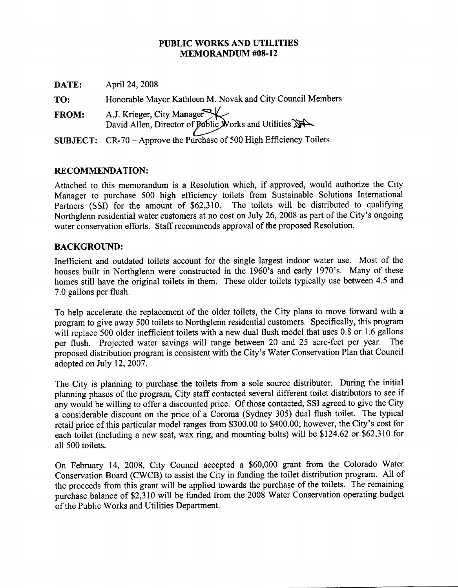#### PUBLIC WORKS AND UTILITIES **MEMORANDUM #08-12**

| DATE:        | April 24, 2008                                                                    |
|--------------|-----------------------------------------------------------------------------------|
| TO:          | Honorable Mayor Kathleen M. Novak and City Council Members                        |
| <b>FROM:</b> | A.J. Krieger, City Manager<br>David Allen, Director of Public Works and Utilities |
|              | SUBJECT: CR-70 - Approve the Purchase of 500 High Efficiency Toilets              |

### **RECOMMENDATION:**

Attached to this memorandum is a Resolution which, if approved, would authorize the City Manager to purchase 500 high efficiency toilets from Sustainable Solutions International The toilets will be distributed to qualifying Partners (SSI) for the amount of \$62,310. Northglenn residential water customers at no cost on July 26, 2008 as part of the City's ongoing water conservation efforts. Staff recommends approval of the proposed Resolution.

### **BACKGROUND:**

Inefficient and outdated toilets account for the single largest indoor water use. Most of the houses built in Northglenn were constructed in the 1960's and early 1970's. Many of these homes still have the original toilets in them. These older toilets typically use between 4.5 and 7.0 gallons per flush.

To help accelerate the replacement of the older toilets, the City plans to move forward with a program to give away 500 toilets to Northglenn residential customers. Specifically, this program will replace 500 older inefficient toilets with a new dual flush model that uses 0.8 or 1.6 gallons per flush. Projected water savings will range between 20 and 25 acre-feet per year. The proposed distribution program is consistent with the City's Water Conservation Plan that Council adopted on July 12, 2007.

The City is planning to purchase the toilets from a sole source distributor. During the initial planning phases of the program, City staff contacted several different toilet distributors to see if any would be willing to offer a discounted price. Of those contacted, SSI agreed to give the City a considerable discount on the price of a Coroma (Sydney 305) dual flush toilet. The typical retail price of this particular model ranges from \$300.00 to \$400.00; however, the City's cost for each toilet (including a new seat, wax ring, and mounting bolts) will be \$124.62 or \$62,310 for all 500 toilets.

On February 14, 2008, City Council accepted a \$60,000 grant from the Colorado Water Conservation Board (CWCB) to assist the City in funding the toilet distribution program. All of the proceeds from this grant will be applied towards the purchase of the toilets. The remaining purchase balance of \$2,310 will be funded from the 2008 Water Conservation operating budget of the Public Works and Utilities Department.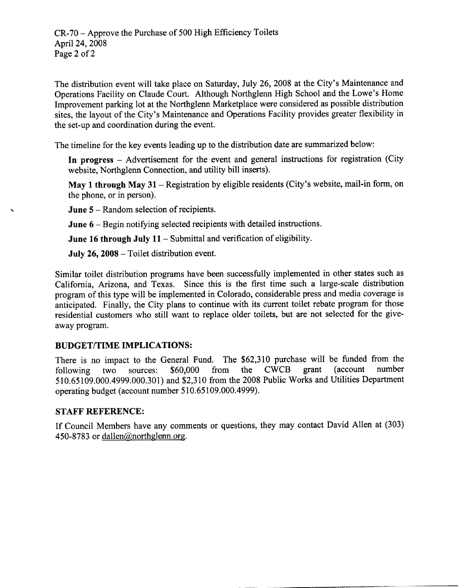The distribution event will take place on Saturday, July 26, 2008 at the City's Maintenance and Operations Facility on Claude Court. Although Northglenn High School and the Lowe's Home Improvement parking lot at the Northglenn Marketplace were considered as possible distribution sites, the layout of the City's Maintenance and Operations Facility provides greater flexibility in the set-up and coordination during the event.

The timeline for the key events leading up to the distribution date are summarized below:

In progress - Advertisement for the event and general instructions for registration (City website, Northglenn Connection, and utility bill inserts).

May 1 through May 31 - Registration by eligible residents (City's website, mail-in form, on the phone, or in person).

**June 5** – Random selection of recipients.

June 6 - Begin notifying selected recipients with detailed instructions.

June 16 through July  $11$  – Submittal and verification of eligibility.

July 26, 2008 – Toilet distribution event.

Similar toilet distribution programs have been successfully implemented in other states such as California, Arizona, and Texas. Since this is the first time such a large-scale distribution program of this type will be implemented in Colorado, considerable press and media coverage is anticipated. Finally, the City plans to continue with its current toilet rebate program for those residential customers who still want to replace older toilets, but are not selected for the giveaway program.

# **BUDGET/TIME IMPLICATIONS:**

There is no impact to the General Fund. The \$62,310 purchase will be funded from the the CWCB *(account*) number \$60,000 grant two sources: from following 510,65109.000.4999.000.301) and \$2,310 from the 2008 Public Works and Utilities Department operating budget (account number 510.65109.000.4999).

# **STAFF REFERENCE:**

If Council Members have any comments or questions, they may contact David Allen at (303) 450-8783 or dallen@northglenn.org.